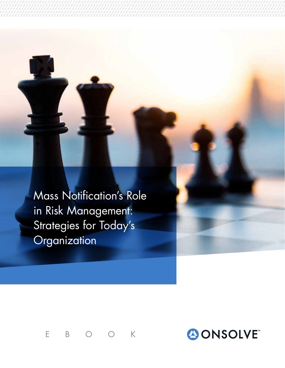Mass Notification's Role in Risk Management: Strategies for Today's **Organization** 

EBOOK

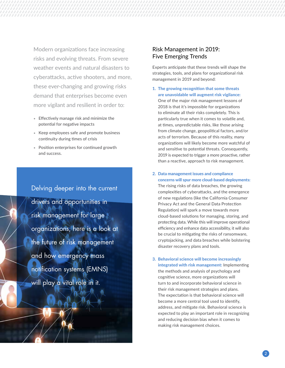Modern organizations face increasing risks and evolving threats. From severe weather events and natural disasters to cyberattacks, active shooters, and more, these ever-changing and growing risks demand that enterprises become even more vigilant and resilient in order to:

- Effectively manage risk and minimize the potential for negative impacts
- Keep employees safe and promote business continuity during times of crisis
- Position enterprises for continued growth and success.

Delving deeper into the current drivers and opportunities in risk management for large organizations, here is a look at the future of risk management and how emergency mass notification systems (EMNS) will play a vital role in it.

### Risk Management in 2019: Five Emerging Trends

Experts anticipate that these trends will shape the strategies, tools, and plans for organizational risk management in 2019 and beyond:

- 1. The growing recognition that some threats are unavoidable will augment risk vigilance: One of the major risk management lessons of 2018 is that it's impossible for organizations to eliminate all their risks completely. This is particularly true when it comes to volatile and, at times, unpredictable risks, like those arising from climate change, geopolitical factors, and/or acts of terrorism. Because of this reality, many organizations will likely become more watchful of and sensitive to potential threats. Consequently, 2019 is expected to trigger a more proactive, rather than a reactive, approach to risk management.
- 2. Data management issues and compliance concerns will spur more cloud-based deployments: The rising risks of data breaches, the growing complexities of cyberattacks, and the emergence of new regulations (like the California Consumer Privacy Act and the General Data Protection Regulation) will spark a move towards more cloud-based solutions for managing, storing, and protecting data. While this will improve operational efficiency and enhance data accessibility, it will also be crucial to mitigating the risks of ransomware, cryptojacking, and data breaches while bolstering disaster recovery plans and tools.
- 3. Behavioral science will become increasingly integrated with risk management: Implementing the methods and analysis of psychology and cognitive science, more organizations will turn to and incorporate behavioral science in their risk management strategies and plans. The expectation is that behavioral science will become a more central tool used to identify, address, and mitigate risk. Behavioral science is expected to play an important role in recognizing and reducing decision bias when it comes to making risk management choices.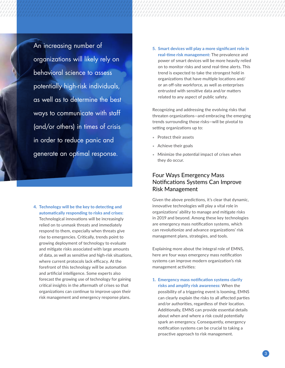An increasing number of organizations will likely rely on behavioral science to assess potentially high-risk individuals, as well as to determine the best ways to communicate with staff (and/or others) in times of crisis in order to reduce panic and generate an optimal response.

4. Technology will be the key to detecting and automatically responding to risks and crises: Technological innovations will be increasingly relied on to unmask threats and immediately respond to them, especially when threats give rise to emergencies. Critically, trends point to growing deployment of technology to evaluate and mitigate risks associated with large amounts of data, as well as sensitive and high-risk situations, where current protocols lack efficacy. At the forefront of this technology will be automation and artificial intelligence. Some experts also forecast the growing use of technology for gaining critical insights in the aftermath of crises so that organizations can continue to improve upon their risk management and emergency response plans.

5. Smart devices will play a more significant role in real-time risk management: The prevalence and power of smart devices will be more heavily relied on to monitor risks and send real-time alerts. This trend is expected to take the strongest hold in organizations that have multiple locations and/ or an off-site workforce, as well as enterprises entrusted with sensitive data and/or matters related to any aspect of public safety.

Recognizing and addressing the evolving risks that threaten organizations—and embracing the emerging trends surrounding those risks—will be pivotal to setting organizations up to:

- Protect their assets
- Achieve their goals
- Minimize the potential impact of crises when they do occur.

### Four Ways Emergency Mass Notifications Systems Can Improve Risk Management

Given the above predictions, it's clear that dynamic, innovative technologies will play a vital role in organizations' ability to manage and mitigate risks in 2019 and beyond. Among these key technologies are emergency mass notification systems, which can revolutionize and advance organizations' risk management plans, strategies, and tools.

Explaining more about the integral role of EMNS, here are four ways emergency mass notification systems can improve modern organization's risk management activities:

1. Emergency mass notification systems clarify risks and amplify risk awareness: When the possibility of a triggering event is looming, EMNS can clearly explain the risks to all affected parties and/or authorities, regardless of their location. Additionally, EMNS can provide essential details about when and where a risk could potentially spark an emergency. Consequently, emergency notification systems can be crucial to taking a proactive approach to risk management.